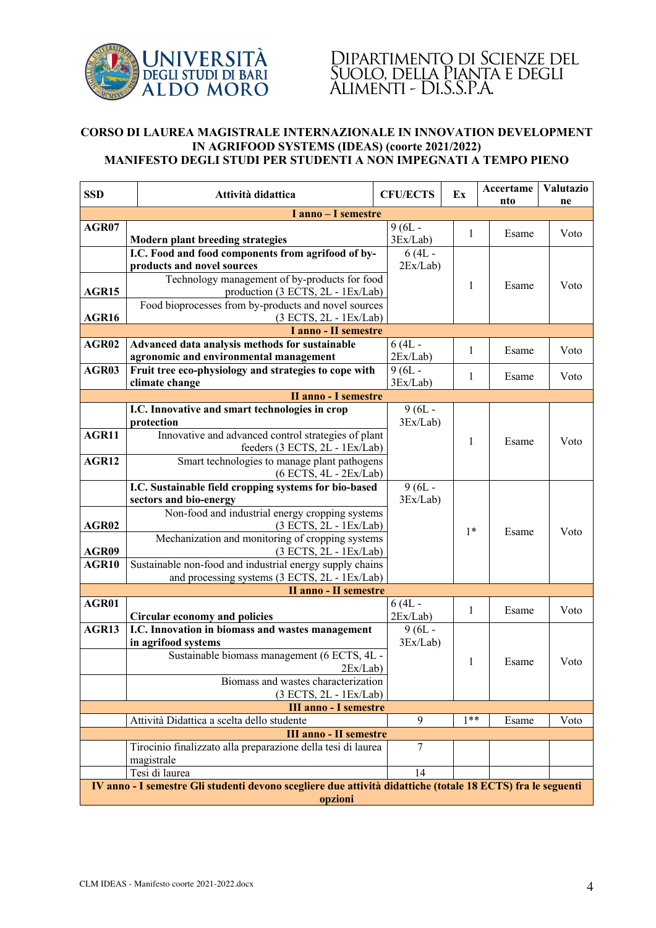

## Dipartimento di Scienze del Suolo, della Pianta e degli Alimenti - Di.S.S.P.A.

## **CORSO DI LAUREA MAGISTRALE INTERNAZIONALE IN INNOVATION DEVELOPMENT IN AGRIFOOD SYSTEMS (IDEAS) (coorte 2021/2022) MANIFESTO DEGLI STUDI PER STUDENTI A NON IMPEGNATI A TEMPO PIENO**

| <b>SSD</b>                                                                                                  | Attività didattica                                                                              | <b>CFU/ECTS</b>      | Ex    | Accertame<br>nto | <b>Valutazio</b><br>ne |  |  |  |  |
|-------------------------------------------------------------------------------------------------------------|-------------------------------------------------------------------------------------------------|----------------------|-------|------------------|------------------------|--|--|--|--|
| I anno - I semestre                                                                                         |                                                                                                 |                      |       |                  |                        |  |  |  |  |
| AGR07                                                                                                       |                                                                                                 | $9(6L -$             |       |                  |                        |  |  |  |  |
|                                                                                                             | <b>Modern plant breeding strategies</b>                                                         | 3Ex/Lab)             | 1     | Esame            | Voto                   |  |  |  |  |
|                                                                                                             | I.C. Food and food components from agrifood of by-                                              | $6(4L -$             |       |                  |                        |  |  |  |  |
|                                                                                                             | products and novel sources                                                                      | 2Ex/Lab)             |       |                  |                        |  |  |  |  |
|                                                                                                             | Technology management of by-products for food                                                   |                      | 1     | Esame            | Voto                   |  |  |  |  |
| AGR15                                                                                                       | production (3 ECTS, 2L - 1Ex/Lab)                                                               |                      |       |                  |                        |  |  |  |  |
|                                                                                                             | Food bioprocesses from by-products and novel sources                                            |                      |       |                  |                        |  |  |  |  |
| AGR16                                                                                                       | (3 ECTS, 2L - 1Ex/Lab)                                                                          |                      |       |                  |                        |  |  |  |  |
| I anno - II semestre                                                                                        |                                                                                                 |                      |       |                  |                        |  |  |  |  |
| AGR02                                                                                                       | Advanced data analysis methods for sustainable                                                  | $6(4L -$             | 1     | Esame            | Voto                   |  |  |  |  |
| AGR03                                                                                                       | agronomic and environmental management<br>Fruit tree eco-physiology and strategies to cope with | 2Ex/Lab)<br>$9(6L -$ |       |                  |                        |  |  |  |  |
|                                                                                                             | climate change                                                                                  | 3Ex/Lab)             | 1     | Esame            | Voto                   |  |  |  |  |
| <b>II anno - I semestre</b>                                                                                 |                                                                                                 |                      |       |                  |                        |  |  |  |  |
|                                                                                                             | I.C. Innovative and smart technologies in crop                                                  | $9(6L -$             |       |                  |                        |  |  |  |  |
|                                                                                                             | protection                                                                                      | 3Ex/Lab)             |       |                  |                        |  |  |  |  |
| AGR11                                                                                                       | Innovative and advanced control strategies of plant                                             |                      |       |                  |                        |  |  |  |  |
|                                                                                                             | feeders (3 ECTS, 2L - 1Ex/Lab)                                                                  |                      | 1     | Esame            | Voto                   |  |  |  |  |
| AGR12                                                                                                       | Smart technologies to manage plant pathogens                                                    |                      |       |                  |                        |  |  |  |  |
|                                                                                                             | (6 ECTS, 4L - 2Ex/Lab)                                                                          |                      |       |                  |                        |  |  |  |  |
|                                                                                                             | I.C. Sustainable field cropping systems for bio-based                                           | $9(6L -$             |       |                  |                        |  |  |  |  |
|                                                                                                             | sectors and bio-energy                                                                          | 3Ex/Lab)             |       |                  |                        |  |  |  |  |
|                                                                                                             | Non-food and industrial energy cropping systems                                                 |                      |       |                  |                        |  |  |  |  |
| AGR02                                                                                                       | (3 ECTS, 2L - 1Ex/Lab)<br>Mechanization and monitoring of cropping systems                      |                      | $1*$  | Esame            | Voto                   |  |  |  |  |
| AGR09                                                                                                       | (3 ECTS, 2L - 1Ex/Lab)                                                                          |                      |       |                  |                        |  |  |  |  |
| AGR10                                                                                                       | Sustainable non-food and industrial energy supply chains                                        |                      |       |                  |                        |  |  |  |  |
|                                                                                                             | and processing systems (3 ECTS, 2L - 1Ex/Lab)                                                   |                      |       |                  |                        |  |  |  |  |
| <b>II anno - II semestre</b>                                                                                |                                                                                                 |                      |       |                  |                        |  |  |  |  |
| AGR01                                                                                                       |                                                                                                 | $6(4L -$             |       |                  |                        |  |  |  |  |
|                                                                                                             | <b>Circular economy and policies</b>                                                            | 2Ex/Lab)             | 1     | Esame            | Voto                   |  |  |  |  |
| AGR13                                                                                                       | I.C. Innovation in biomass and wastes management                                                | $9(6L -$             |       |                  |                        |  |  |  |  |
|                                                                                                             | in agrifood systems                                                                             | 3Ex/Lab)             |       |                  |                        |  |  |  |  |
|                                                                                                             | Sustainable biomass management (6 ECTS, 4L -                                                    |                      | 1     | Esame            | Voto                   |  |  |  |  |
|                                                                                                             | 2Ex/Lab)                                                                                        |                      |       |                  |                        |  |  |  |  |
|                                                                                                             | Biomass and wastes characterization                                                             |                      |       |                  |                        |  |  |  |  |
|                                                                                                             | (3 ECTS, 2L - 1Ex/Lab)                                                                          |                      |       |                  |                        |  |  |  |  |
|                                                                                                             | <b>III anno - I semestre</b><br>Attività Didattica a scelta dello studente                      | 9                    | $1**$ | Esame            | Voto                   |  |  |  |  |
|                                                                                                             | <b>III anno - II semestre</b>                                                                   |                      |       |                  |                        |  |  |  |  |
|                                                                                                             | Tirocinio finalizzato alla preparazione della tesi di laurea                                    | 7                    |       |                  |                        |  |  |  |  |
|                                                                                                             | magistrale                                                                                      |                      |       |                  |                        |  |  |  |  |
|                                                                                                             | Tesi di laurea                                                                                  | 14                   |       |                  |                        |  |  |  |  |
| IV anno - I semestre Gli studenti devono scegliere due attività didattiche (totale 18 ECTS) fra le seguenti |                                                                                                 |                      |       |                  |                        |  |  |  |  |
| opzioni                                                                                                     |                                                                                                 |                      |       |                  |                        |  |  |  |  |